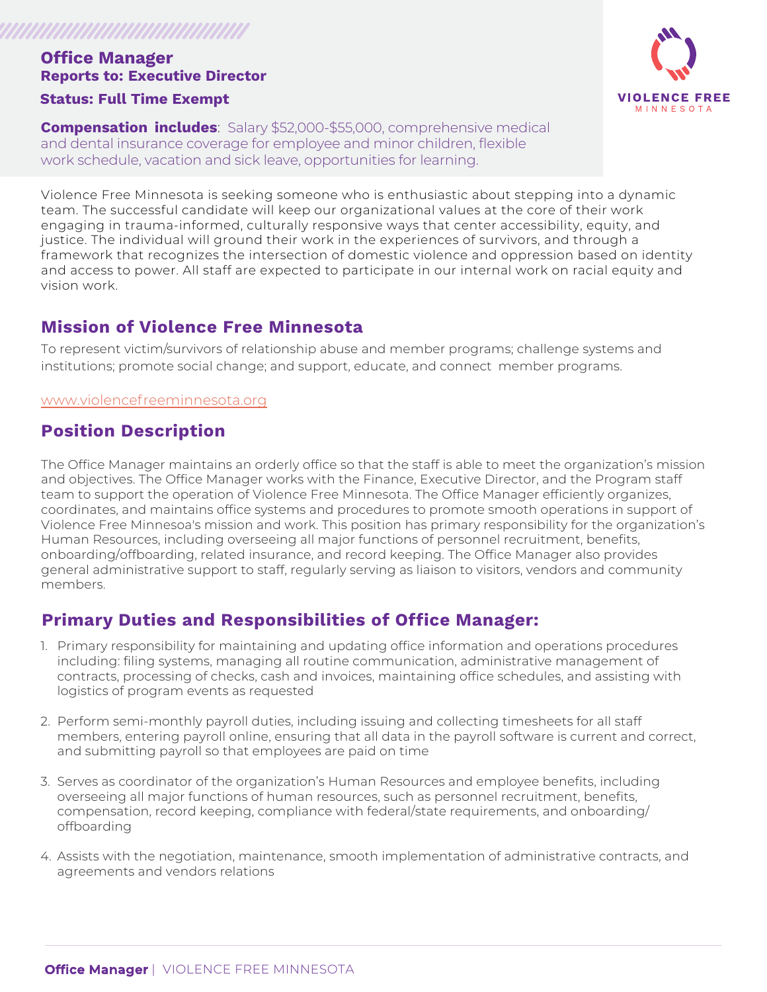# **Office Manager Reports to: Executive Director**

#### **Status: Full Time Exempt**

*MAANAHAANAHAANAHAAN* 

**Compensation includes**: Salary \$52,000-\$55,000, comprehensive medical and dental insurance coverage for employee and minor children, flexible work schedule, vacation and sick leave, opportunities for learning.

Violence Free Minnesota is seeking someone who is enthusiastic about stepping into a dynamic team. The successful candidate will keep our organizational values at the core of their work engaging in trauma-informed, culturally responsive ways that center accessibility, equity, and justice. The individual will ground their work in the experiences of survivors, and through a framework that recognizes the intersection of domestic violence and oppression based on identity and access to power. All staff are expected to participate in our internal work on racial equity and vision work.

#### **Mission of Violence Free Minnesota**

To represent victim/survivors of relationship abuse and member programs; challenge systems and institutions; promote social change; and support, educate, and connect member programs.

#### [www.violencefreeminnesota.org](http://www.violencefreeminnesota.org)

### **Position Description**

The Office Manager maintains an orderly office so that the staff is able to meet the organization's mission and objectives. The Office Manager works with the Finance, Executive Director, and the Program staff team to support the operation of Violence Free Minnesota. The Office Manager efficiently organizes, coordinates, and maintains office systems and procedures to promote smooth operations in support of Violence Free Minnesoa's mission and work. This position has primary responsibility for the organization's Human Resources, including overseeing all major functions of personnel recruitment, benefits, onboarding/offboarding, related insurance, and record keeping. The Office Manager also provides general administrative support to staff, regularly serving as liaison to visitors, vendors and community members.

## **Primary Duties and Responsibilities of Office Manager:**

- 1. Primary responsibility for maintaining and updating office information and operations procedures including: filing systems, managing all routine communication, administrative management of contracts, processing of checks, cash and invoices, maintaining office schedules, and assisting with logistics of program events as requested
- 2. Perform semi-monthly payroll duties, including issuing and collecting timesheets for all staff members, entering payroll online, ensuring that all data in the payroll software is current and correct, and submitting payroll so that employees are paid on time
- 3. Serves as coordinator of the organization's Human Resources and employee benefits, including overseeing all major functions of human resources, such as personnel recruitment, benefits, compensation, record keeping, compliance with federal/state requirements, and onboarding/ offboarding
- 4. Assists with the negotiation, maintenance, smooth implementation of administrative contracts, and agreements and vendors relations

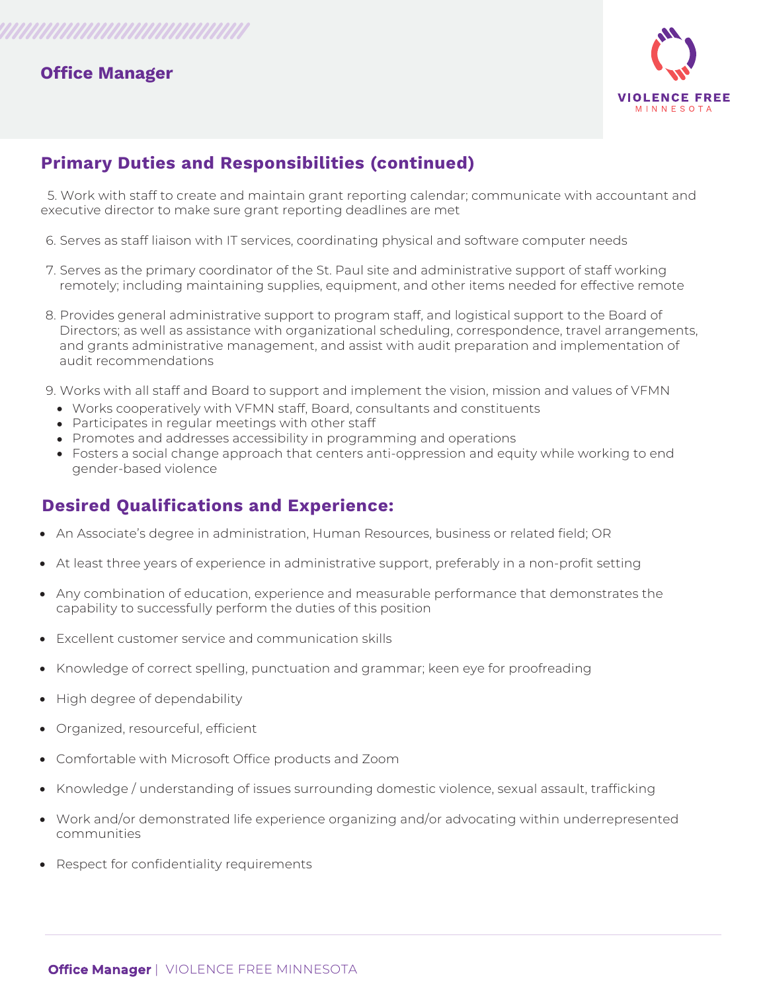#### **Office Manager**



## **Primary Duties and Responsibilities (continued)**

 5. Work with staff to create and maintain grant reporting calendar; communicate with accountant and executive director to make sure grant reporting deadlines are met

- 6. Serves as staff liaison with IT services, coordinating physical and software computer needs
- 7. Serves as the primary coordinator of the St. Paul site and administrative support of staff working remotely; including maintaining supplies, equipment, and other items needed for effective remote
- 8. Provides general administrative support to program staff, and logistical support to the Board of Directors; as well as assistance with organizational scheduling, correspondence, travel arrangements, and grants administrative management, and assist with audit preparation and implementation of audit recommendations
- 9. Works with all staff and Board to support and implement the vision, mission and values of VFMN
	- Works cooperatively with VFMN staff, Board, consultants and constituents
	- Participates in regular meetings with other staff
	- Promotes and addresses accessibility in programming and operations
	- Fosters a social change approach that centers anti-oppression and equity while working to end gender-based violence

## **Desired Qualifications and Experience:**

- An Associate's degree in administration, Human Resources, business or related field; OR
- At least three years of experience in administrative support, preferably in a non-profit setting
- Any combination of education, experience and measurable performance that demonstrates the capability to successfully perform the duties of this position
- Excellent customer service and communication skills
- Knowledge of correct spelling, punctuation and grammar; keen eye for proofreading
- High degree of dependability
- Organized, resourceful, efficient
- Comfortable with Microsoft Office products and Zoom
- Knowledge / understanding of issues surrounding domestic violence, sexual assault, trafficking
- Work and/or demonstrated life experience organizing and/or advocating within underrepresented communities
- Respect for confidentiality requirements